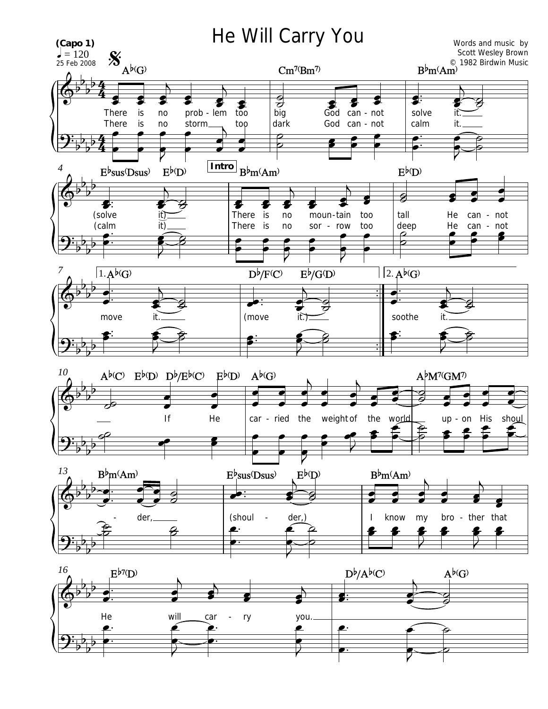